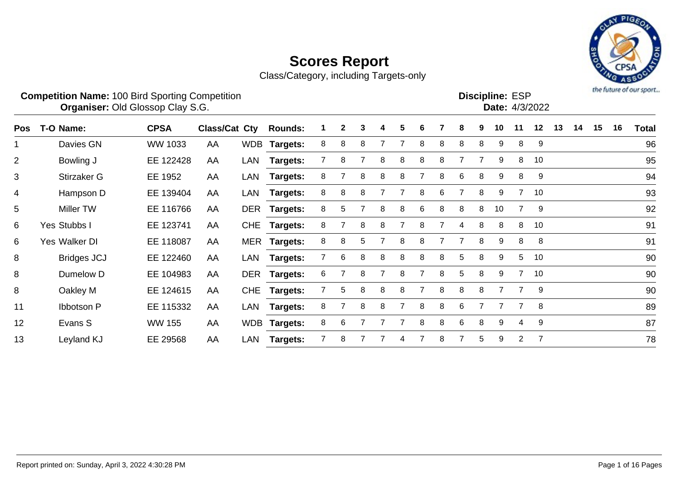

|            | <b>Competition Name: 100 Bird Sporting Competition</b><br>Organiser: Old Glossop Clay S.G. |               |                      |            |                 |   |   |   |   |   |   |   |   |   | <b>Discipline: ESP</b> |                 | Date: 4/3/2022 |    |    |    |    | the future of our sport |
|------------|--------------------------------------------------------------------------------------------|---------------|----------------------|------------|-----------------|---|---|---|---|---|---|---|---|---|------------------------|-----------------|----------------|----|----|----|----|-------------------------|
| <b>Pos</b> | T-O Name:                                                                                  | <b>CPSA</b>   | <b>Class/Cat Cty</b> |            | <b>Rounds:</b>  |   | 2 | 3 | 4 | 5 | 6 |   | 8 | 9 | 10                     | 11              | 12             | 13 | 14 | 15 | 16 | <b>Total</b>            |
| 1          | Davies GN                                                                                  | WW 1033       | AA                   |            | WDB Targets:    | 8 | 8 | 8 |   |   | 8 | 8 | 8 | 8 | 9                      | 8               | 9              |    |    |    |    | 96                      |
| 2          | Bowling J                                                                                  | EE 122428     | AA                   | LAN        | <b>Targets:</b> |   | 8 |   | 8 | 8 | 8 | 8 |   |   | 9                      | 8               | 10             |    |    |    |    | 95                      |
| 3          | Stirzaker G                                                                                | EE 1952       | AA                   | LAN        | Targets:        | 8 |   | 8 | 8 | 8 | 7 | 8 | 6 | 8 | 9                      | 8               | 9              |    |    |    |    | 94                      |
| 4          | Hampson D                                                                                  | EE 139404     | AA                   | LAN        | Targets:        | 8 | 8 | 8 |   |   | 8 | 6 |   | 8 | 9                      | 7               | 10             |    |    |    |    | 93                      |
| 5          | <b>Miller TW</b>                                                                           | EE 116766     | AA                   | <b>DER</b> | <b>Targets:</b> | 8 | 5 |   | 8 | 8 | 6 | 8 | 8 | 8 | 10                     |                 | 9              |    |    |    |    | 92                      |
| 6          | Yes Stubbs I                                                                               | EE 123741     | AA                   | <b>CHE</b> | Targets:        | 8 |   | 8 | 8 |   | 8 |   | 4 | 8 | 8                      | 8               | 10             |    |    |    |    | 91                      |
| 6          | Yes Walker DI                                                                              | EE 118087     | AA                   | <b>MER</b> | Targets:        | 8 | 8 | 5 |   | 8 | 8 |   |   | 8 | 9                      | 8               | 8              |    |    |    |    | 91                      |
| 8          | <b>Bridges JCJ</b>                                                                         | EE 122460     | AA                   | LAN        | Targets:        |   | 6 | 8 | 8 | 8 | 8 | 8 | 5 | 8 | 9                      | $5\phantom{.0}$ | 10             |    |    |    |    | 90                      |
| 8          | Dumelow D                                                                                  | EE 104983     | AA                   | <b>DER</b> | Targets:        | 6 |   | 8 |   |   |   | 8 | 5 | 8 | 9                      | 7               | 10             |    |    |    |    | 90                      |
| 8          | Oakley M                                                                                   | EE 124615     | AA                   | <b>CHE</b> | Targets:        |   | 5 | 8 | 8 | 8 | 7 | 8 | 8 | 8 |                        | 7               | 9              |    |    |    |    | 90                      |
| 11         | <b>Ibbotson P</b>                                                                          | EE 115332     | AA                   | <b>LAN</b> | Targets:        | 8 |   | 8 | 8 |   | 8 | 8 | 6 |   |                        | 7               | 8              |    |    |    |    | 89                      |
| 12         | Evans S                                                                                    | <b>WW 155</b> | AA                   | <b>WDB</b> | <b>Targets:</b> | 8 | 6 |   |   |   | 8 | 8 | 6 | 8 | 9                      | 4               | 9              |    |    |    |    | 87                      |
| 13         | Leyland KJ                                                                                 | EE 29568      | AA                   | LAN        | <b>Targets:</b> |   | 8 |   |   |   |   | 8 |   | 5 | 9                      | $\overline{2}$  | $\overline{7}$ |    |    |    |    | 78                      |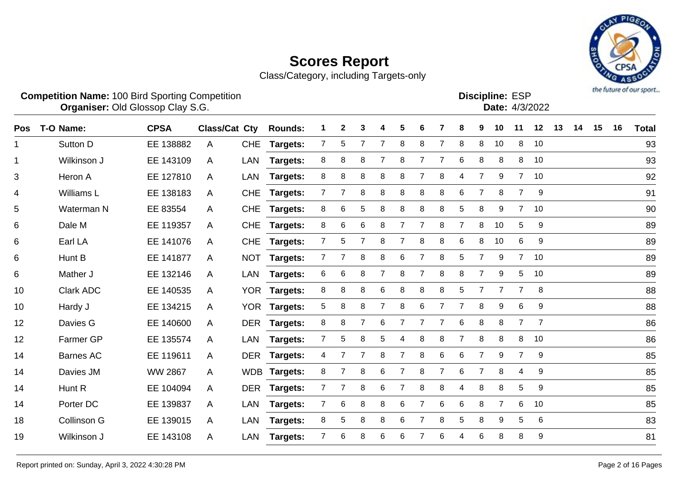

Class/Category, including Targets-only

|     | <b>Competition Name: 100 Bird Sporting Competition</b><br><b>Organiser: Old Glossop Clay S.G.</b> |             |               |            |                 |   |              |   |   |   |   |   |                |   | <b>Discipline: ESP</b> |                | Date: 4/3/2022 |    |    |    |    | the future of our sport |
|-----|---------------------------------------------------------------------------------------------------|-------------|---------------|------------|-----------------|---|--------------|---|---|---|---|---|----------------|---|------------------------|----------------|----------------|----|----|----|----|-------------------------|
| Pos | T-O Name:                                                                                         | <b>CPSA</b> | Class/Cat Cty |            | <b>Rounds:</b>  |   | $\mathbf{2}$ | 3 | 4 | 5 | 6 |   | 8              | 9 | 10                     | 11             | 12             | 13 | 14 | 15 | 16 | Total                   |
| 1   | Sutton D                                                                                          | EE 138882   | A             | <b>CHE</b> | <b>Targets:</b> |   | 5            |   |   | 8 | 8 |   | 8              | 8 | 10                     | 8              | 10             |    |    |    |    | 93                      |
| 1   | Wilkinson J                                                                                       | EE 143109   | A             | LAN        | <b>Targets:</b> | 8 | 8            | 8 |   | 8 |   |   | 6              | 8 | 8                      | 8              | 10             |    |    |    |    | 93                      |
| 3   | Heron A                                                                                           | EE 127810   | A             | LAN        | Targets:        | 8 | 8            | 8 | 8 | 8 |   | 8 | 4              |   | 9                      | 7              | 10             |    |    |    |    | 92                      |
| 4   | Williams L                                                                                        | EE 138183   | A             | <b>CHE</b> | <b>Targets:</b> |   |              | 8 | 8 | 8 | 8 | 8 | 6              |   | 8                      | $\overline{7}$ | 9              |    |    |    |    | 91                      |
| 5   | Waterman N                                                                                        | EE 83554    | A             | <b>CHE</b> | <b>Targets:</b> | 8 | 6            | 5 | 8 | 8 | 8 | 8 | 5              | 8 | 9                      | $\overline{7}$ | 10             |    |    |    |    | 90                      |
| 6   | Dale M                                                                                            | EE 119357   | $\mathsf{A}$  | <b>CHE</b> | <b>Targets:</b> | 8 | 6            | 6 | 8 |   | 7 | 8 | $\overline{7}$ | 8 | 10                     | 5              | 9              |    |    |    |    | 89                      |
| 6   | Earl LA                                                                                           | EE 141076   | A             | <b>CHE</b> | <b>Targets:</b> |   | 5            | 7 | 8 |   | 8 | 8 | 6              | 8 | 10                     | 6              | 9              |    |    |    |    | 89                      |
| 6   | Hunt B                                                                                            | EE 141877   | A             | <b>NOT</b> | Targets:        |   |              | 8 | 8 | 6 |   | 8 | 5              |   | 9                      | $\overline{7}$ | 10             |    |    |    |    | 89                      |
| 6   | Mather J                                                                                          | EE 132146   | A             | LAN        | <b>Targets:</b> | 6 | 6            | 8 |   | 8 |   | 8 | 8              |   | 9                      | 5              | 10             |    |    |    |    | 89                      |
| 10  | Clark ADC                                                                                         | EE 140535   | A             | YOR.       | <b>Targets:</b> | 8 | 8            | 8 | 6 | 8 | 8 | 8 | 5              |   | $\overline{7}$         | $\overline{7}$ | 8              |    |    |    |    | 88                      |
| 10  | Hardy J                                                                                           | EE 134215   | A             | <b>YOR</b> | Targets:        | 5 | 8            | 8 |   | 8 | 6 |   |                | 8 | 9                      | 6              | 9              |    |    |    |    | 88                      |
|     |                                                                                                   |             |               |            |                 |   |              |   |   |   |   |   |                |   |                        |                |                |    |    |    |    |                         |

 Davies G EE 140600 A DER **Targets:** 8 8 7 6 7 7 7 6 8 8 7 7 86 Farmer GP EE 135574 A LAN **Targets:** 7 5 8 5 4 8 8 7 8 8 8 10 86 Barnes AC EE 119611 A DER **Targets:** 4 7 7 8 7 8 6 6 7 9 7 9 85 Davies JM WW 2867 A WDB **Targets:** 8 7 8 6 7 8 7 6 7 8 4 9 85 14 Hunt R EE 104094 A DER Targets: 7 7 8 6 7 8 8 4 8 8 5 9 Porter DC EE 139837 A LAN **Targets:** 7 6 8 8 6 7 6 6 8 7 6 10 85 Collinson G EE 139015 A LAN **Targets:** 8 5 8 8 6 7 8 5 8 9 5 6 83 Wilkinson J EE 143108 A LAN **Targets:** 7 6 8 6 6 7 6 4 6 8 8 9 81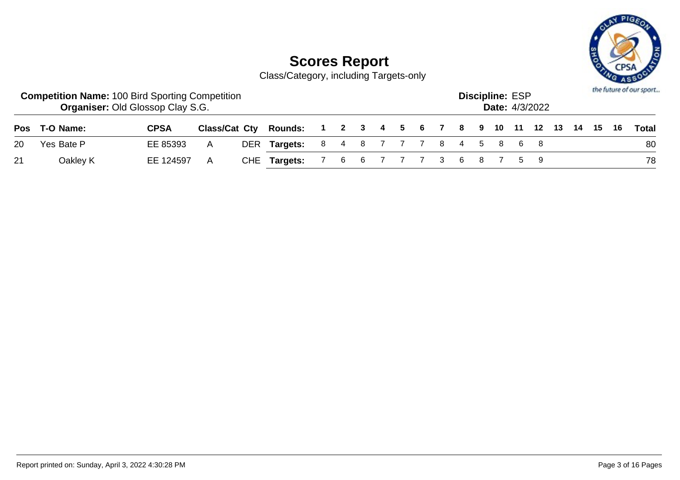

|    | <b>Competition Name: 100 Bird Sporting Competition</b> | <b>Organiser: Old Glossop Clay S.G.</b> |               |                                                |                         |  |  |  |  | <b>Discipline: ESP</b> | <b>Date:</b> 4/3/2022 |  |  | the future of our sport |
|----|--------------------------------------------------------|-----------------------------------------|---------------|------------------------------------------------|-------------------------|--|--|--|--|------------------------|-----------------------|--|--|-------------------------|
|    | Pos T-O Name:                                          | <b>CPSA</b>                             | Class/Cat Cty | Rounds: 1 2 3 4 5 6 7 8 9 10 11 12 13 14 15 16 |                         |  |  |  |  |                        |                       |  |  | Total                   |
| 20 | Yes Bate P                                             | EE 85393                                | A             | DER Targets:                                   | 8 4 8 7 7 7 8 4 5 8 6 8 |  |  |  |  |                        |                       |  |  | 80                      |
| 21 | Oakley K                                               | EE 124597                               | A             | CHE Targets:                                   | 7 6 6 7 7 7 3 6 8 7 5 9 |  |  |  |  |                        |                       |  |  | 78                      |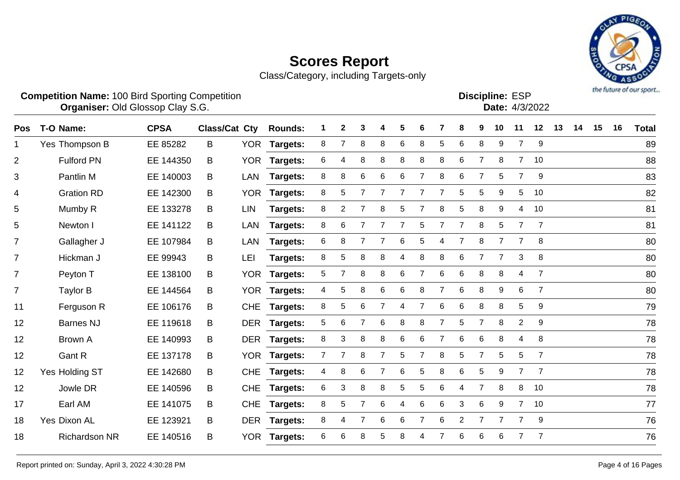

|                | <b>Competition Name: 100 Bird Sporting Competition</b><br>Organiser: Old Glossop Clay S.G. |             |                          |            |                |   |   |        |   |                      |   |               |        |   | <b>Discipline: ESP</b> |    | <b>Date: 4/3/2022</b> |    |    |    |    | the future of our sport |
|----------------|--------------------------------------------------------------------------------------------|-------------|--------------------------|------------|----------------|---|---|--------|---|----------------------|---|---------------|--------|---|------------------------|----|-----------------------|----|----|----|----|-------------------------|
| <b>Pos</b>     | T-O Name:                                                                                  | <b>CPSA</b> | Class/Cat Cty            |            | <b>Rounds:</b> |   | 2 |        | 4 | b.                   | 6 |               | 8      | 9 | 10                     | 11 | 12                    | 13 | 14 | 15 | 16 | <b>Total</b>            |
|                | Yes Thompson B                                                                             | EE 85282    | B                        | <b>YOR</b> | Targets:       | 8 |   | 8      | 8 | 6                    | 8 | 5             | 6      | 8 | 9                      |    | 9                     |    |    |    |    | 89                      |
| $\overline{2}$ | <b>Fulford PN</b>                                                                          | EE 144350   | B                        |            | YOR Targets:   | 6 | 4 | 8      | 8 | 8                    | 8 | 8             | 6      |   | 8                      |    | 10                    |    |    |    |    | 88                      |
| 3              | Pantlin M                                                                                  | EE 140003   | B                        | LAN        | Targets:       | 8 | 8 | 6      | 6 | 6                    |   | 8             | 6      |   | 5.                     |    | 9                     |    |    |    |    | 83                      |
| 4              | <b>Gration RD</b>                                                                          | EE 142300   | B                        |            | YOR Targets:   | 8 | 5 |        |   |                      |   |               | 5      | 5 | 9                      | 5  | 10                    |    |    |    |    | 82                      |
| 5              | Mumby R                                                                                    | EE 133278   | B                        | LIN        | Targets:       | 8 | 2 |        | 8 | 5.                   |   | 8             | 5      | 8 | 9                      | 4  | 10                    |    |    |    |    | 81                      |
| 5              | Newton I                                                                                   | EE 141122   | B                        | LAN        | Targets:       | 8 | 6 |        |   |                      | 5 |               |        | 8 | 5                      |    |                       |    |    |    |    | 81                      |
| $\overline{7}$ | Gallagher J                                                                                | EE 107984   | B.                       | LAN        | Targets:       | 6 | 8 |        |   | 6                    | 5 | 4             | 7      | 8 |                        |    | 8                     |    |    |    |    | 80                      |
|                |                                                                                            | FF 00010    | $\overline{\phantom{a}}$ |            |                |   |   | $\sim$ |   | $\sim$ $\sim$ $\sim$ |   | $\sim$ $\sim$ | $\sim$ |   |                        |    |                       |    |    |    |    | $\sim$                  |

| ັ              | <b>IVIUIIIDY IN</b>  | LL TUUZIU | ◡ | 니버         | ι αι γσιο.      |   |    |   |   |   |                |   |                |                |   |                |                | <u>UI</u> |
|----------------|----------------------|-----------|---|------------|-----------------|---|----|---|---|---|----------------|---|----------------|----------------|---|----------------|----------------|-----------|
| 5              | Newton I             | EE 141122 | B | LAN        | <b>Targets:</b> | 8 | 6  |   |   |   | 5              |   | 7              | 8              | 5 | 7              | $\overline{7}$ | 81        |
| $\overline{7}$ | Gallagher J          | EE 107984 | B | LAN        | Targets:        | 6 | 8  |   |   | 6 | 5              |   |                | 8              |   |                | 8              | 80        |
| 7              | Hickman J            | EE 99943  | B | <b>LEI</b> | <b>Targets:</b> | 8 | 5. | 8 | 8 | 4 | 8              | 8 | 6              |                |   | 3              | 8              | 80        |
| $\overline{7}$ | Peyton T             | EE 138100 | B |            | YOR Targets:    | 5 |    | 8 | 8 | 6 |                | 6 | 6              | 8              | 8 | 4              | $\overline{7}$ | 80        |
| $\overline{7}$ | Taylor B             | EE 144564 | B | YOR        | <b>Targets:</b> | 4 | 5  | 8 | 6 | 6 | 8              |   | 6              | 8              | 9 | 6              | $\overline{7}$ | 80        |
| 11             | Ferguson R           | EE 106176 | B | <b>CHE</b> | Targets:        | 8 | 5  | 6 |   | 4 |                | 6 | 6              | 8              | 8 | 5              | 9              | 79        |
| 12             | <b>Barnes NJ</b>     | EE 119618 | B | <b>DER</b> | <b>Targets:</b> | 5 | 6  |   | 6 | 8 | 8              |   | 5              |                | 8 | $\overline{2}$ | 9              | 78        |
| 12             | Brown A              | EE 140993 | B | <b>DER</b> | Targets:        | 8 | 3  | 8 | 8 | 6 | 6              |   | 6              | 6              | 8 | 4              | 8              | 78        |
| 12             | Gant R               | EE 137178 | B | YOR        | <b>Targets:</b> |   |    | 8 |   | 5 |                | 8 | 5              |                | 5 | 5              |                | 78        |
| 12             | Yes Holding ST       | EE 142680 | B | <b>CHE</b> | <b>Targets:</b> |   | 8  | 6 |   | 6 | 5              | 8 | 6              | 5              | 9 | $\overline{7}$ | $\overline{7}$ | 78        |
| 12             | Jowle DR             | EE 140596 | B | <b>CHE</b> | <b>Targets:</b> | 6 | 3  | 8 | 8 | 5 | 5              | 6 | 4              | $\overline{7}$ | 8 | 8              | 10             | 78        |
| 17             | Earl AM              | EE 141075 | B | <b>CHE</b> | <b>Targets:</b> | 8 | 5. |   | 6 | 4 | 6              | 6 | 3              | 6              | 9 | $\overline{7}$ | 10             | 77        |
| 18             | Yes Dixon AL         | EE 123921 | B | DER        | <b>Targets:</b> | 8 | 4  | 7 | 6 | 6 | $\overline{7}$ | 6 | $\overline{2}$ | $\overline{7}$ | 7 | $\overline{7}$ | -9             | 76        |
| 18             | <b>Richardson NR</b> | EE 140516 | B | YOR        | <b>Targets:</b> | 6 | 6  | 8 | 5 | 8 | 4              |   | 6              | 6              | 6 | 7              | $\overline{7}$ | 76        |
|                |                      |           |   |            |                 |   |    |   |   |   |                |   |                |                |   |                |                |           |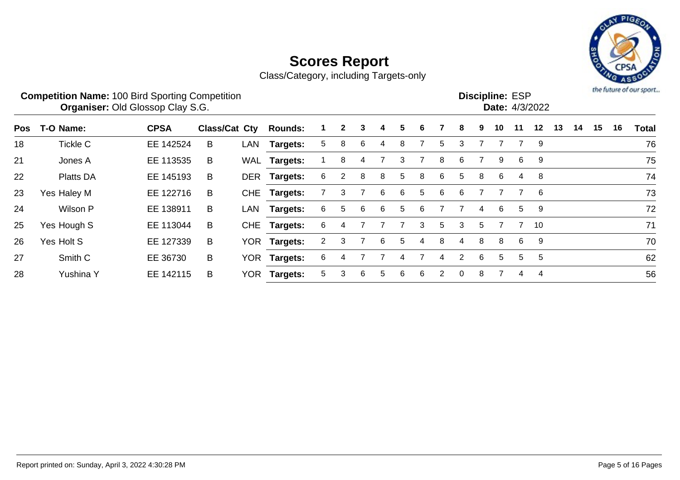

|     | <b>Competition Name: 100 Bird Sporting Competition</b> | <b>Organiser: Old Glossop Clay S.G.</b> |                      |            |                 |   |              |   |   |    |   |   |          |   |    | <b>Discipline: ESP</b> | Date: 4/3/2022 |    |    |    |    | the future of our sport |
|-----|--------------------------------------------------------|-----------------------------------------|----------------------|------------|-----------------|---|--------------|---|---|----|---|---|----------|---|----|------------------------|----------------|----|----|----|----|-------------------------|
| Pos | T-O Name:                                              | <b>CPSA</b>                             | <b>Class/Cat Cty</b> |            | <b>Rounds:</b>  |   | $\mathbf{2}$ | 3 | 4 | 5. | 6 |   | 8        | 9 | 10 | 11                     | $12 \,$        | 13 | 14 | 15 | 16 | <b>Total</b>            |
| 18  | <b>Tickle C</b>                                        | EE 142524                               | B                    | LAN        | Targets:        | 5 | 8            | 6 | 4 | 8  |   | 5 | 3        |   |    |                        | -9             |    |    |    |    | 76                      |
| 21  | Jones A                                                | EE 113535                               | B                    | WAL        | Targets:        |   | 8            | 4 |   | 3  |   | 8 | 6        |   | 9  | 6                      | -9             |    |    |    |    | 75                      |
| 22  | <b>Platts DA</b>                                       | EE 145193                               | B                    | <b>DER</b> | <b>Targets:</b> | 6 | 2            | 8 | 8 | 5  | 8 | 6 | 5        | 8 | 6  | 4                      | -8             |    |    |    |    | 74                      |
| 23  | Yes Haley M                                            | EE 122716                               | B                    | <b>CHE</b> | Targets:        |   | 3.           |   | 6 | 6. | 5 | 6 | 6        |   |    |                        | 6              |    |    |    |    | 73                      |
| 24  | Wilson P                                               | EE 138911                               | B                    | LAN        | Targets:        | 6 | 5.           | 6 | 6 | 5. | 6 |   |          | 4 | 6  | 5                      | 9              |    |    |    |    | 72                      |
| 25  | Yes Hough S                                            | EE 113044                               | B                    | <b>CHE</b> | Targets:        | 6 |              |   |   |    | 3 | 5 | 3        | 5 |    |                        | - 10           |    |    |    |    | 71                      |
| 26  | Yes Holt S                                             | EE 127339                               | B                    | <b>YOR</b> | <b>Targets:</b> | 2 | 3            |   | 6 | 5  | 4 | 8 | 4        | 8 | 8  | 6                      | - 9            |    |    |    |    | 70                      |
| 27  | Smith C                                                | EE 36730                                | B                    | <b>YOR</b> | <b>Targets:</b> | 6 |              |   |   | 4  |   | 4 | 2        | 6 | 5  | 5                      | 5              |    |    |    |    | 62                      |
| 28  | Yushina Y                                              | EE 142115                               | B                    | YOR        | Targets:        | 5 | 3            | 6 | 5 | 6  | 6 | 2 | $\Omega$ | 8 |    | 4                      | $\overline{4}$ |    |    |    |    | 56                      |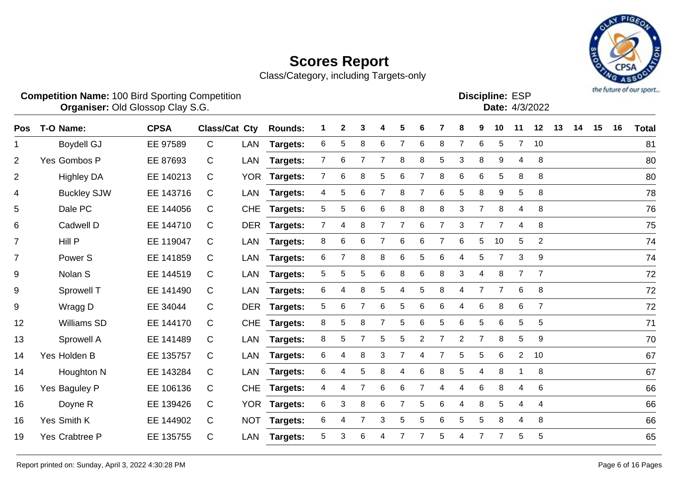

| <b>Competition Name: 100 Bird Sporting Competition</b> | <b>Organiser: Old Glossop Clay S.G.</b> |     |                                                              |  |  |  |  |  | <b>Discipline: ESP</b> | <b>Date:</b> 4/3/2022 |  |  | the future of our sport |
|--------------------------------------------------------|-----------------------------------------|-----|--------------------------------------------------------------|--|--|--|--|--|------------------------|-----------------------|--|--|-------------------------|
| Pos T-O Name:                                          | <b>CPSA</b>                             |     | Class/Cat Cty Rounds: 1 2 3 4 5 6 7 8 9 10 11 12 13 14 15 16 |  |  |  |  |  |                        |                       |  |  | <b>Total</b>            |
| <b>Boydell GJ</b>                                      | EE 97589                                | LAN | Targets: 6 5 8 6 7 6 8 7 6 5 7 10                            |  |  |  |  |  |                        |                       |  |  | 81                      |
|                                                        |                                         |     |                                                              |  |  |  |  |  |                        |                       |  |  |                         |

| $\overline{2}$   | Yes Gombos P       | EE 87693  | $\mathsf{C}$ | LAN | <b>Targets:</b> | $7^{\circ}$    | 6               |                 |   | 8 | 8              | 5 | 3              | 8               | 9              | 4              | 8              | 80 |
|------------------|--------------------|-----------|--------------|-----|-----------------|----------------|-----------------|-----------------|---|---|----------------|---|----------------|-----------------|----------------|----------------|----------------|----|
| $\overline{2}$   | <b>Highley DA</b>  | EE 140213 | C            |     | YOR Targets:    | $7^{\circ}$    | 6               | 8               | 5 | 6 | 7              | 8 | 6              | 6               | 5              | 8              | 8              | 80 |
| 4                | <b>Buckley SJW</b> | EE 143716 | C            |     | LAN Targets:    | 4              | 5               | 6               |   | 8 | 7              | 6 | 5              | 8               | 9              | 5              | 8              | 78 |
| 5                | Dale PC            | EE 144056 | C            |     | CHE Targets:    | 5 <sub>1</sub> | $5\phantom{.0}$ | 6               | 6 | 8 | 8              | 8 | 3              | $\overline{7}$  | 8              | 4              | 8              | 76 |
| 6                | Cadwell D          | EE 144710 | C            |     | DER Targets:    | $7^{\circ}$    | 4               | 8               |   |   | 6              |   | 3              | 7               | 7              | 4              | 8              | 75 |
| $\overline{7}$   | Hill P             | EE 119047 | C            |     | LAN Targets:    | 8              | 6               | 6               |   | 6 | 6              | 7 | 6              | 5 <sup>5</sup>  | 10             | 5              | $\overline{2}$ | 74 |
| $\overline{7}$   | Power <sub>S</sub> | EE 141859 | C            |     | LAN Targets:    | 6              | $\overline{7}$  | 8               | 8 | 6 | 5              | 6 | 4              | 5               | 7              | 3              | 9              | 74 |
| 9                | Nolan S            | EE 144519 | C            |     | LAN Targets:    | 5 <sup>5</sup> | 5               | 5               | 6 | 8 | 6              | 8 | 3              | 4               | 8              | $\overline{7}$ | 7              | 72 |
| $\boldsymbol{9}$ | Sprowell T         | EE 141490 | C            |     | LAN Targets:    | 6              | 4               | 8               | 5 | 4 | 5              | 8 |                | 7               | 7              | 6              | 8              | 72 |
| $\boldsymbol{9}$ | Wragg D            | EE 34044  | C            |     | DER Targets:    | 5 <sup>5</sup> | 6               | 7               | 6 | 5 | 6              | 6 |                | 6               | 8              | 6              | 7              | 72 |
| 12               | Williams SD        | EE 144170 | C            |     | CHE Targets:    | 8              | 5               | 8               |   | 5 | 6              | 5 | 6              | 5               | 6              | 5              | 5              | 71 |
| 13               | Sprowell A         | EE 141489 | C            |     | LAN Targets:    | 8              | 5               |                 | 5 | 5 | $\overline{2}$ |   | $\overline{2}$ | 7               | 8              | 5              | 9              | 70 |
| 14               | Yes Holden B       | EE 135757 | C            |     | LAN Targets:    | 6              | 4               | 8               | 3 | 7 | 4              | 7 | 5              | $5\overline{)}$ | 6              | $2^{\circ}$    | 10             | 67 |
| 14               | Houghton N         | EE 143284 | C            |     | LAN Targets:    | 6              | 4               | $5\phantom{.0}$ | 8 | 4 | 6              | 8 | 5              | 4               | 8              |                | 8              | 67 |
| 16               | Yes Baguley P      | EE 106136 | C            |     | CHE Targets:    | 4              | 4               | $\overline{7}$  | 6 | 6 | 7              | 4 | 4              | 6               | 8              | 4              | 6              | 66 |
| 16               | Doyne R            | EE 139426 | C            |     | YOR Targets:    | 6 <sup>1</sup> | 3               | 8               | 6 | 7 | 5              | 6 | 4              | 8               | 5              | 4              | 4              | 66 |
| 16               | Yes Smith K        | EE 144902 | $\mathsf{C}$ |     | NOT Targets:    | 6              | 4               | $\overline{7}$  | 3 | 5 | 5              | 6 | 5              | 5               | 8              | 4              | 8              | 66 |
| 19               | Yes Crabtree P     | EE 135755 | $\mathsf{C}$ |     | LAN Targets:    | 5              | 3               | 6               |   |   |                | 5 |                | $\overline{7}$  | $\overline{7}$ | 5              | 5              | 65 |
|                  |                    |           |              |     |                 |                |                 |                 |   |   |                |   |                |                 |                |                |                |    |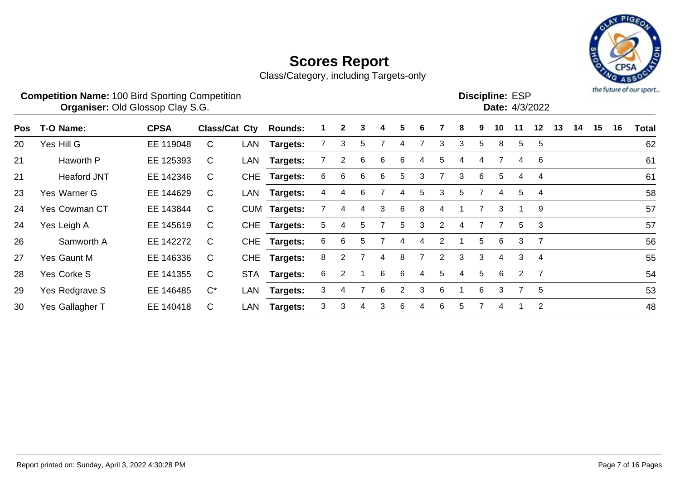

|     | <b>Competition Name: 100 Bird Sporting Competition</b><br>Organiser: Old Glossop Clay S.G. |             |                      |            |                 |   |                |   |   |   |   |                |   |    | <b>Discipline: ESP</b> |    | Date: 4/3/2022 |    |    |    |    | the future of our sport |
|-----|--------------------------------------------------------------------------------------------|-------------|----------------------|------------|-----------------|---|----------------|---|---|---|---|----------------|---|----|------------------------|----|----------------|----|----|----|----|-------------------------|
| Pos | T-O Name:                                                                                  | <b>CPSA</b> | <b>Class/Cat Cty</b> |            | <b>Rounds:</b>  |   | $\mathbf{2}$   | 3 | 4 | 5 | 6 |                | 8 | 9. | 10                     | 11 | 12             | 13 | 14 | 15 | 16 | <b>Total</b>            |
| 20  | Yes Hill G                                                                                 | EE 119048   | C                    | LAN        | <b>Targets:</b> |   | 3              | 5 |   | 4 |   | 3              | 3 | 5. | 8                      | 5  | 5              |    |    |    |    | 62                      |
| 21  | Haworth P                                                                                  | EE 125393   | C                    | LAN        | Targets:        |   | $\overline{2}$ | 6 | 6 | 6 | 4 | 5              | 4 | 4  |                        | 4  | 6              |    |    |    |    | 61                      |
| 21  | <b>Heaford JNT</b>                                                                         | EE 142346   | C                    | <b>CHE</b> | <b>Targets:</b> | 6 | 6              | 6 | 6 | 5 | 3 |                | 3 | 6  | 5                      | 4  | $\overline{4}$ |    |    |    |    | 61                      |
| 23  | Yes Warner G                                                                               | EE 144629   | C                    | LAN        | Targets:        | 4 | 4              | 6 |   | 4 | 5 | 3              | 5 |    | 4                      | 5  | $\overline{4}$ |    |    |    |    | 58                      |
| 24  | <b>Yes Cowman CT</b>                                                                       | EE 143844   | C                    | <b>CUM</b> | Targets:        |   | 4              | 4 | 3 | 6 | 8 | 4              |   |    | 3                      |    | 9              |    |    |    |    | 57                      |
| 24  | Yes Leigh A                                                                                | EE 145619   | C                    | <b>CHE</b> | Targets:        | 5 | 4              | 5 |   | 5 | 3 | $\overline{2}$ | 4 |    | 7                      | 5  | 3              |    |    |    |    | 57                      |
| 26  | Samworth A                                                                                 | EE 142272   | $\mathsf{C}$         | <b>CHE</b> | <b>Targets:</b> | 6 | 6              | 5 |   | 4 | 4 | $\overline{2}$ |   | 5  | 6                      | 3  | -7             |    |    |    |    | 56                      |
| 27  | Yes Gaunt M                                                                                | EE 146336   | C                    | <b>CHE</b> | Targets:        | 8 | 2              |   | 4 | 8 | 7 | $\overline{2}$ | 3 | 3  | 4                      | 3  | $\overline{4}$ |    |    |    |    | 55                      |
| 28  | Yes Corke S                                                                                | EE 141355   | C                    | <b>STA</b> | Targets:        | 6 | 2              |   | 6 | 6 | 4 | 5              | 4 | 5  | 6                      | 2  | $\overline{7}$ |    |    |    |    | 54                      |
| 29  | Yes Redgrave S                                                                             | EE 146485   | $C^*$                | LAN        | <b>Targets:</b> | 3 | 4              |   | 6 | 2 | 3 | 6              |   | 6  | 3                      | 7  | 5              |    |    |    |    | 53                      |
| 30  | Yes Gallagher T                                                                            | EE 140418   | C                    | LAN        | Targets:        | 3 | 3              | 4 | 3 | 6 | 4 | 6              | 5 |    | 4                      |    | $\overline{2}$ |    |    |    |    | 48                      |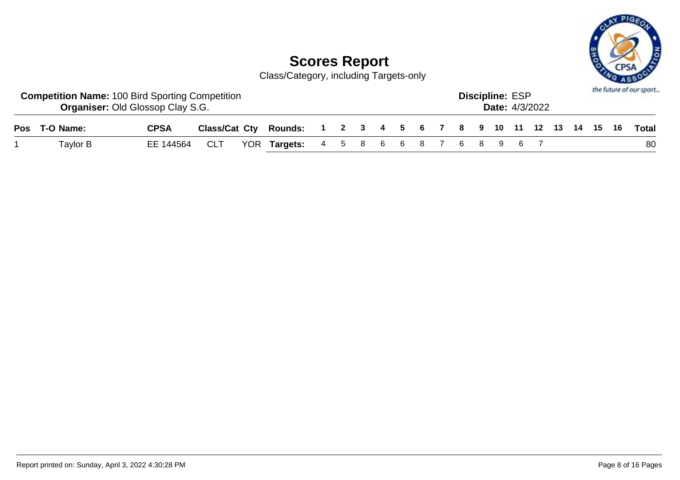

| <b>Competition Name: 100 Bird Sporting Competition</b><br><b>Organiser: Old Glossop Clay S.G.</b> |             |            |                                                                    |  |  |  |  | <b>Discipline: ESP</b> | <b>Date:</b> 4/3/2022 |  |  | the future of our sport |
|---------------------------------------------------------------------------------------------------|-------------|------------|--------------------------------------------------------------------|--|--|--|--|------------------------|-----------------------|--|--|-------------------------|
| Pos T-O Name:                                                                                     | <b>CPSA</b> |            | Class/Cat Cty Rounds: 1 2 3 4 5 6 7 8 9 10 11 12 13 14 15 16 Total |  |  |  |  |                        |                       |  |  |                         |
| Taylor B                                                                                          | EE 144564   | <b>CLT</b> | YOR Targets: 4 5 8 6 6 8 7 6 8 9 6 7                               |  |  |  |  |                        |                       |  |  | 80                      |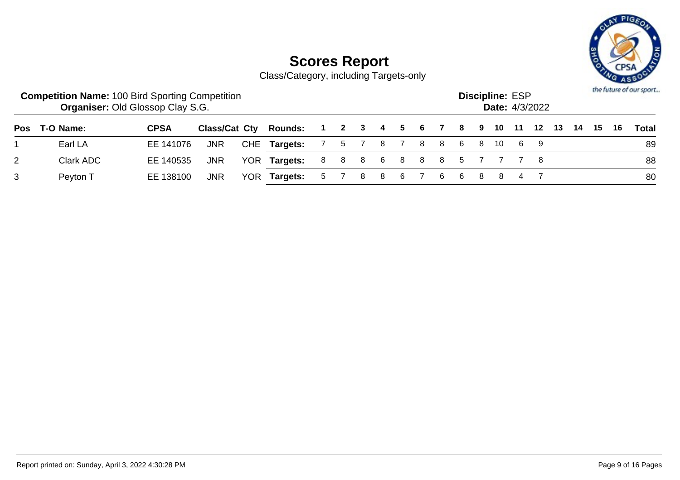

|   | <b>Competition Name: 100 Bird Sporting Competition</b> | <b>Organiser: Old Glossop Clay S.G.</b> |            |                                                           |       |   |    |                         | <b>Discipline: ESP</b> | <b>Date: 4/3/2022</b> |  |      | the future of our sport |
|---|--------------------------------------------------------|-----------------------------------------|------------|-----------------------------------------------------------|-------|---|----|-------------------------|------------------------|-----------------------|--|------|-------------------------|
|   | Pos T-O Name:                                          | <b>CPSA</b>                             |            | Class/Cat Cty Rounds: 1 2 3 4 5 6 7 8 9 10 11 12 13 14 15 |       |   |    |                         |                        |                       |  | - 16 | Total                   |
|   | Earl LA                                                | EE 141076                               | <b>JNR</b> | CHE Targets: 7 5 7 8 7 8 8 6 8 10 6 9                     |       |   |    |                         |                        |                       |  |      | 89                      |
| 2 | Clark ADC                                              | EE 140535                               | <b>JNR</b> | YOR Targets:                                              |       |   |    | 8 8 8 6 8 8 8 5 7 7 7 8 |                        |                       |  |      | 88                      |
| 3 | Peyton T                                               | EE 138100                               | JNR        | YOR Targets:                                              | 5 7 8 | 8 | 67 | 6688                    |                        |                       |  |      | 80                      |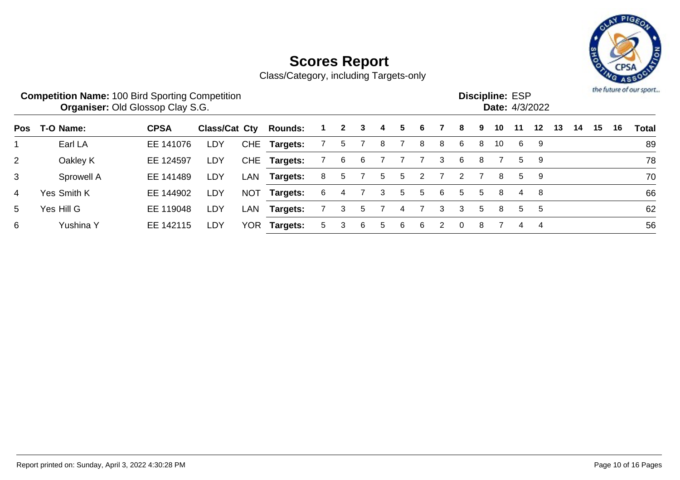

|                |             | <b>Competition Name: 100 Bird Sporting Competition</b><br><b>Organiser: Old Glossop Clay S.G.</b> |               |            |                |   |              |    |   |   |    |   |                      |    | <b>Discipline: ESP</b> |    | Date: 4/3/2022 |    |    |    |    | the future of our sport |
|----------------|-------------|---------------------------------------------------------------------------------------------------|---------------|------------|----------------|---|--------------|----|---|---|----|---|----------------------|----|------------------------|----|----------------|----|----|----|----|-------------------------|
| Pos            | T-O Name:   | <b>CPSA</b>                                                                                       | Class/Cat Cty |            | <b>Rounds:</b> |   | $\mathbf{2}$ | 3  | 4 | 5 | 6  |   | 8                    | 9. | 10                     | 11 | $12 \,$        | 13 | 14 | 15 | 16 | Total                   |
|                | Earl LA     | EE 141076                                                                                         | <b>LDY</b>    |            | CHE Targets:   |   | 5            |    | 8 |   | 8  | 8 | 6                    | 8  | 10                     | 6  | -9             |    |    |    |    | 89                      |
| 2 <sup>1</sup> | Oakley K    | EE 124597                                                                                         | <b>LDY</b>    |            | CHE Targets:   |   | 6            | 6  |   |   |    | 3 | 6                    | 8  |                        | 5  | - 9            |    |    |    |    | 78                      |
| 3              | Sprowell A  | EE 141489                                                                                         | <b>LDY</b>    | LAN        | Targets:       | 8 | 5            |    | 5 | 5 | 2  |   | $\mathbf{2}^{\circ}$ |    | 8                      | 5  | - 9            |    |    |    |    | 70                      |
| 4              | Yes Smith K | EE 144902                                                                                         | LDY           | <b>NOT</b> | Targets:       | 6 | 4            |    | 3 | 5 | 5. | 6 | 5                    | 5  | 8                      | 4  | - 8            |    |    |    |    | 66                      |
| 5              | Yes Hill G  | EE 119048                                                                                         | LDY           | LAN        | Targets:       |   | 3            | 5. |   | 4 |    | 3 | 3                    | 5  | 8                      | 5. | 5              |    |    |    |    | 62                      |
| 6              | Yushina Y   | EE 142115                                                                                         | LDY           | YOR        | Targets:       | 5 | 3            | 6  | 5 | 6 | 6  | 2 | $\Omega$             | 8  |                        | 4  | 4              |    |    |    |    | 56                      |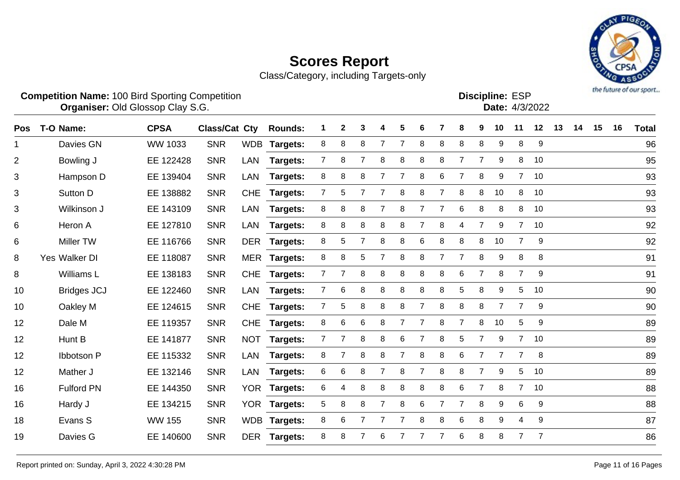

|                | <b>Competition Name: 100 Bird Sporting Competition</b><br>Organiser: Old Glossop Clay S.G. |                |                      |            |                |                |                |                |                |                |                |                |                | <b>Discipline: ESP</b><br>Date: 4/3/2022 |                |                 |                |    |    | 2.AOS | the future of our sport |              |
|----------------|--------------------------------------------------------------------------------------------|----------------|----------------------|------------|----------------|----------------|----------------|----------------|----------------|----------------|----------------|----------------|----------------|------------------------------------------|----------------|-----------------|----------------|----|----|-------|-------------------------|--------------|
| <b>Pos</b>     | T-O Name:                                                                                  | <b>CPSA</b>    | <b>Class/Cat Cty</b> |            | <b>Rounds:</b> | 1              | $\mathbf 2$    | 3              | Δ              | 5              | 6              | 7              | 8              | 9                                        | 10             | 11              | 12             | 13 | 14 | 15    | 16                      | <b>Total</b> |
|                | Davies GN                                                                                  | <b>WW 1033</b> | <b>SNR</b>           |            | WDB Targets:   | 8              | 8              | 8              | 7              | 7              | 8              | 8              | 8              | 8                                        | 9              | 8               | 9              |    |    |       |                         | 96           |
| $\overline{2}$ | Bowling J                                                                                  | EE 122428      | <b>SNR</b>           | LAN        | Targets:       | $\overline{7}$ | 8              | $\overline{7}$ | 8              | 8              | 8              | 8              | $\overline{7}$ | $\overline{7}$                           | 9              | 8               | 10             |    |    |       |                         | 95           |
| 3              | Hampson D                                                                                  | EE 139404      | <b>SNR</b>           | <b>LAN</b> | Targets:       | 8              | 8              | 8              | 7              | 7              | 8              | 6              | 7              | 8                                        | 9              | $\overline{7}$  | 10             |    |    |       |                         | 93           |
| 3              | Sutton D                                                                                   | EE 138882      | <b>SNR</b>           | <b>CHE</b> | Targets:       | $\overline{7}$ | 5              | $\overline{7}$ | $\overline{7}$ | 8              | 8              | 7              | 8              | 8                                        | 10             | 8               | 10             |    |    |       |                         | 93           |
| 3              | Wilkinson J                                                                                | EE 143109      | <b>SNR</b>           | <b>LAN</b> | Targets:       | 8              | 8              | 8              |                | 8              | 7              | 7              | 6              | 8                                        | 8              | 8               | 10             |    |    |       |                         | 93           |
| 6              | Heron A                                                                                    | EE 127810      | <b>SNR</b>           | <b>LAN</b> | Targets:       | 8              | 8              | 8              | 8              | 8              | $\overline{7}$ | 8              | 4              | $\overline{7}$                           | 9              | $\overline{7}$  | 10             |    |    |       |                         | 92           |
| 6              | <b>Miller TW</b>                                                                           | EE 116766      | <b>SNR</b>           | <b>DER</b> | Targets:       | 8              | 5              | $\overline{7}$ | 8              | 8              | 6              | 8              | 8              | 8                                        | 10             | $\overline{7}$  | 9              |    |    |       |                         | 92           |
| 8              | Yes Walker DI                                                                              | EE 118087      | <b>SNR</b>           |            | MER Targets:   | 8              | 8              | 5              | 7              | 8              | 8              | $\overline{7}$ | $\overline{7}$ | 8                                        | 9              | 8               | 8              |    |    |       |                         | 91           |
| 8              | Williams L                                                                                 | EE 138183      | <b>SNR</b>           | <b>CHE</b> | Targets:       | $\mathbf{7}$   | 7              | 8              | 8              | 8              | 8              | 8              | 6              | $\overline{7}$                           | 8              | $\overline{7}$  | 9              |    |    |       |                         | 91           |
| 10             | <b>Bridges JCJ</b>                                                                         | EE 122460      | <b>SNR</b>           | LAN        | Targets:       | 7              | 6              | 8              | 8              | 8              | 8              | 8              | 5              | 8                                        | 9              | 5               | 10             |    |    |       |                         | 90           |
| 10             | Oakley M                                                                                   | EE 124615      | <b>SNR</b>           | <b>CHE</b> | Targets:       | $\overline{7}$ | 5              | 8              | 8              | 8              | 7              | 8              | 8              | 8                                        | $\overline{7}$ | 7               | 9              |    |    |       |                         | 90           |
| 12             | Dale M                                                                                     | EE 119357      | <b>SNR</b>           | <b>CHE</b> | Targets:       | 8              | 6              | 6              | 8              | $\overline{7}$ | 7              | 8              | $\overline{7}$ | 8                                        | 10             | 5               | 9              |    |    |       |                         | 89           |
| 12             | Hunt B                                                                                     | EE 141877      | <b>SNR</b>           | <b>NOT</b> | Targets:       | $\overline{7}$ | 7              | 8              | 8              | 6              | $\overline{7}$ | 8              | 5              | $\overline{7}$                           | 9              | 7 <sup>7</sup>  | 10             |    |    |       |                         | 89           |
| 12             | Ibbotson P                                                                                 | EE 115332      | <b>SNR</b>           | <b>LAN</b> | Targets:       | 8              | $\overline{7}$ | 8              | 8              | $\overline{7}$ | 8              | 8              | 6              | $\overline{7}$                           | 7              | $\overline{7}$  | 8              |    |    |       |                         | 89           |
| 12             | Mather J                                                                                   | EE 132146      | <b>SNR</b>           | <b>LAN</b> | Targets:       | 6              | 6              | 8              | $\overline{7}$ | 8              | 7              | 8              | 8              | $\overline{7}$                           | 9              | 5               | 10             |    |    |       |                         | 89           |
| 16             | <b>Fulford PN</b>                                                                          | EE 144350      | <b>SNR</b>           | <b>YOR</b> | Targets:       | 6              | 4              | 8              | 8              | 8              | 8              | 8              | 6              | $\overline{7}$                           | 8              | $7^{\circ}$     | 10             |    |    |       |                         | 88           |
| 16             | Hardy J                                                                                    | EE 134215      | <b>SNR</b>           |            | YOR Targets:   | 5              | 8              | 8              | 7              | 8              | 6              | 7              | 7              | 8                                        | 9              | $6\phantom{1}6$ | 9              |    |    |       |                         | 88           |
| 18             | Evans S                                                                                    | <b>WW 155</b>  | <b>SNR</b>           |            | WDB Targets:   | 8              | 6              | 7              |                | 7              | 8              | 8              | 6              | 8                                        | 9              | $\overline{4}$  | 9              |    |    |       |                         | 87           |
| 19             | Davies G                                                                                   | EE 140600      | <b>SNR</b>           | DER        | Targets:       | 8              | 8              | 7              | 6              | 7              | 7              | 7              | 6              | 8                                        | 8              | 7               | $\overline{7}$ |    |    |       |                         | 86           |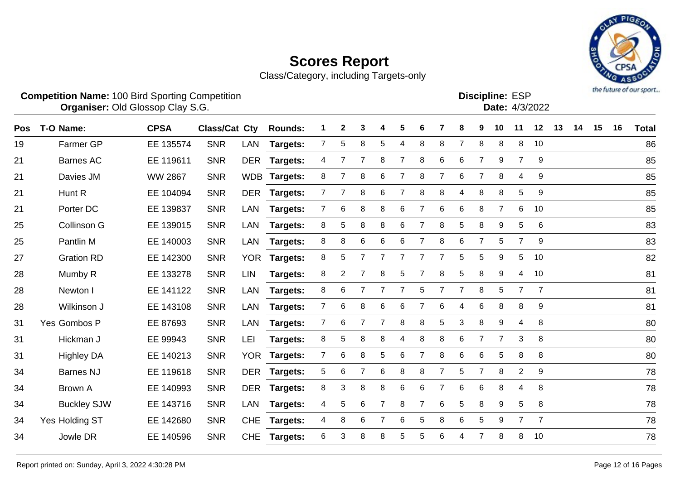

|     |                    | <b>Competition Name: 100 Bird Sporting Competition</b><br><b>Organiser: Old Glossop Clay S.G.</b> |                      |            |                |   |                |                |                |                |                |                |                |                | <b>Discipline: ESP</b><br>Date: 4/3/2022 |                | the future of our sport |    |    |    |    |              |
|-----|--------------------|---------------------------------------------------------------------------------------------------|----------------------|------------|----------------|---|----------------|----------------|----------------|----------------|----------------|----------------|----------------|----------------|------------------------------------------|----------------|-------------------------|----|----|----|----|--------------|
| Pos | T-O Name:          | <b>CPSA</b>                                                                                       | <b>Class/Cat Cty</b> |            | <b>Rounds:</b> |   | 2              | 3              | 4              | 5              | 6              | 7              | 8              | 9              | 10                                       | 11             | 12                      | 13 | 14 | 15 | 16 | <b>Total</b> |
| 19  | <b>Farmer GP</b>   | EE 135574                                                                                         | <b>SNR</b>           | LAN        | Targets:       | 7 | 5              | 8              | 5              | 4              | 8              | 8              | $\overline{7}$ | 8              | 8                                        | 8              | 10                      |    |    |    |    | 86           |
| 21  | <b>Barnes AC</b>   | EE 119611                                                                                         | <b>SNR</b>           | <b>DER</b> | Targets:       | 4 | $\overline{7}$ | 7              | 8              | $\overline{7}$ | 8              | $\,6$          | 6              | 7              | 9                                        | $\overline{7}$ | 9                       |    |    |    |    | 85           |
| 21  | Davies JM          | <b>WW 2867</b>                                                                                    | <b>SNR</b>           | <b>WDB</b> | Targets:       | 8 | 7              | 8              | 6              | $\overline{7}$ | 8              | 7              | 6              | 7              | 8                                        | $\overline{4}$ | 9                       |    |    |    |    | 85           |
| 21  | Hunt <sub>R</sub>  | EE 104094                                                                                         | <b>SNR</b>           | <b>DER</b> | Targets:       | 7 | 7              | 8              | 6              | $\overline{7}$ | 8              | 8              | 4              | 8              | 8                                        | 5              | 9                       |    |    |    |    | 85           |
| 21  | Porter DC          | EE 139837                                                                                         | <b>SNR</b>           | LAN        | Targets:       | 7 | 6              | 8              | 8              | 6              | $\overline{7}$ | 6              | 6              | 8              | $\overline{7}$                           | 6              | 10                      |    |    |    |    | 85           |
| 25  | <b>Collinson G</b> | EE 139015                                                                                         | <b>SNR</b>           | <b>LAN</b> | Targets:       | 8 | 5              | 8              | 8              | 6              | $\overline{7}$ | 8              | 5              | 8              | 9                                        | 5              | 6                       |    |    |    |    | 83           |
| 25  | Pantlin M          | EE 140003                                                                                         | <b>SNR</b>           | <b>LAN</b> | Targets:       | 8 | 8              | 6              | 6              | 6              | 7              | 8              | 6              | 7              | 5                                        | 7              | 9                       |    |    |    |    | 83           |
| 27  | <b>Gration RD</b>  | EE 142300                                                                                         | <b>SNR</b>           | <b>YOR</b> | Targets:       | 8 | 5              | 7              | 7              | $\overline{7}$ | 7              | 7              | 5              | 5              | 9                                        | 5              | 10                      |    |    |    |    | 82           |
| 28  | Mumby R            | EE 133278                                                                                         | <b>SNR</b>           | <b>LIN</b> | Targets:       | 8 | 2              | $\overline{7}$ | 8              | 5              | 7              | 8              | 5              | 8              | 9                                        | 4              | 10                      |    |    |    |    | 81           |
| 28  | Newton I           | EE 141122                                                                                         | <b>SNR</b>           | <b>LAN</b> | Targets:       | 8 | 6              | 7              | $\overline{7}$ | $\overline{7}$ | 5              | $\overline{7}$ | 7              | 8              | 5                                        | $\overline{7}$ | $\overline{7}$          |    |    |    |    | 81           |
| 28  | Wilkinson J        | EE 143108                                                                                         | <b>SNR</b>           | <b>LAN</b> | Targets:       | 7 | 6              | 8              | 6              | 6              | 7              | 6              | 4              | 6              | 8                                        | 8              | 9                       |    |    |    |    | 81           |
| 31  | Yes Gombos P       | EE 87693                                                                                          | <b>SNR</b>           | LAN        | Targets:       | 7 | 6              | 7              | 7              | 8              | 8              | 5              | 3              | 8              | 9                                        | 4              | 8                       |    |    |    |    | 80           |
| 31  | Hickman J          | EE 99943                                                                                          | <b>SNR</b>           | LEI        | Targets:       | 8 | 5              | 8              | 8              | 4              | 8              | 8              | 6              | 7              | $\overline{7}$                           | 3              | 8                       |    |    |    |    | 80           |
| 31  | <b>Highley DA</b>  | EE 140213                                                                                         | <b>SNR</b>           | <b>YOR</b> | Targets:       | 7 | 6              | 8              | 5              | 6              | $\overline{7}$ | 8              | 6              | 6              | 5                                        | 8              | 8                       |    |    |    |    | 80           |
| 34  | <b>Barnes NJ</b>   | EE 119618                                                                                         | <b>SNR</b>           | <b>DER</b> | Targets:       | 5 | 6              | 7              | 6              | 8              | 8              | 7              | 5              | $\overline{7}$ | 8                                        | 2              | 9                       |    |    |    |    | 78           |
| 34  | <b>Brown A</b>     | EE 140993                                                                                         | <b>SNR</b>           | <b>DER</b> | Targets:       | 8 | 3              | 8              | 8              | 6              | 6              | 7              | 6              | 6              | 8                                        | 4              | 8                       |    |    |    |    | 78           |
| 34  | <b>Buckley SJW</b> | EE 143716                                                                                         | <b>SNR</b>           | LAN        | Targets:       | 4 | 5              | 6              | $\overline{7}$ | 8              | $\overline{7}$ | 6              | 5              | 8              | 9                                        | 5              | 8                       |    |    |    |    | 78           |
| 34  | Yes Holding ST     | EE 142680                                                                                         | <b>SNR</b>           | <b>CHE</b> | Targets:       | 4 | 8              | 6              |                | 6              | 5              | 8              | 6              | 5              | 9                                        | $\overline{7}$ | $\overline{7}$          |    |    |    |    | 78           |
| 34  | Jowle DR           | EE 140596                                                                                         | <b>SNR</b>           | <b>CHE</b> | Targets:       | 6 | 3              | 8              | 8              | 5              | 5              | 6              | 4              | $\overline{7}$ | 8                                        | 8              | 10                      |    |    |    |    | 78           |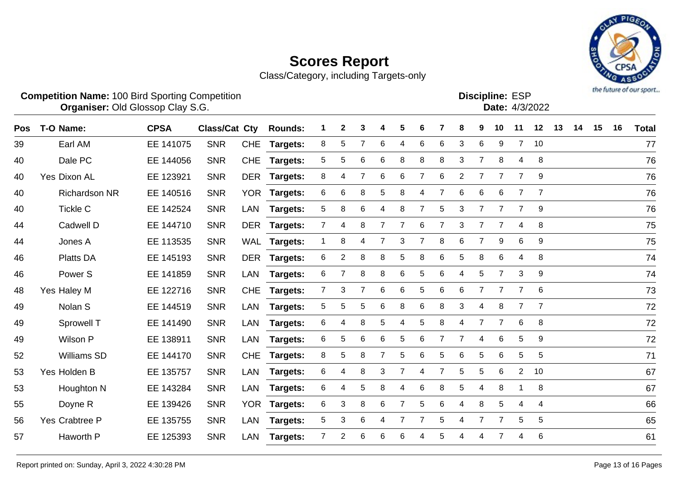

|     | <b>Competition Name: 100 Bird Sporting Competition</b><br><b>Organiser: Old Glossop Clay S.G.</b> |             |                      |            |                |                |                |   |                |                |   |   |                |                | <b>Discipline: ESP</b><br>Date: 4/3/2022 |                       |                |    |    |    |    | the future of our sport. |
|-----|---------------------------------------------------------------------------------------------------|-------------|----------------------|------------|----------------|----------------|----------------|---|----------------|----------------|---|---|----------------|----------------|------------------------------------------|-----------------------|----------------|----|----|----|----|--------------------------|
| Pos | T-O Name:                                                                                         | <b>CPSA</b> | <b>Class/Cat Cty</b> |            | <b>Rounds:</b> |                | 2              | 3 | 4              | 5              | 6 |   | 8              | 9              | 10                                       | 11                    | 12             | 13 | 14 | 15 | 16 | <b>Total</b>             |
| 39  | Earl AM                                                                                           | EE 141075   | <b>SNR</b>           | <b>CHE</b> | Targets:       | 8              | 5              | 7 | 6              | 4              | 6 | 6 | 3              | 6              | 9                                        | $7\overline{ }$       | 10             |    |    |    |    | 77                       |
| 40  | Dale PC                                                                                           | EE 144056   | <b>SNR</b>           | <b>CHE</b> | Targets:       | 5              | 5              | 6 | 6              | 8              | 8 | 8 | 3              | $\overline{7}$ | 8                                        | 4                     | 8              |    |    |    |    | 76                       |
| 40  | Yes Dixon AL                                                                                      | EE 123921   | <b>SNR</b>           | <b>DER</b> | Targets:       | 8              | 4              | 7 | 6              | 6              | 7 | 6 | $\overline{2}$ | 7              | $\overline{7}$                           | $\overline{7}$        | 9              |    |    |    |    | 76                       |
| 40  | <b>Richardson NR</b>                                                                              | EE 140516   | <b>SNR</b>           | <b>YOR</b> | Targets:       | 6              | 6              | 8 | 5              | 8              | 4 | 7 | 6              | 6              | 6                                        | $\overline{7}$        | 7              |    |    |    |    | 76                       |
| 40  | <b>Tickle C</b>                                                                                   | EE 142524   | <b>SNR</b>           | <b>LAN</b> | Targets:       | 5              | 8              | 6 | 4              | 8              | 7 | 5 | 3              | $\overline{7}$ | $\overline{7}$                           | 7                     | 9              |    |    |    |    | 76                       |
| 44  | Cadwell D                                                                                         | EE 144710   | <b>SNR</b>           | <b>DER</b> | Targets:       | $\overline{7}$ | 4              | 8 | 7              | 7              | 6 | 7 | 3              | 7              | 7                                        | 4                     | 8              |    |    |    |    | 75                       |
| 44  | Jones A                                                                                           | EE 113535   | <b>SNR</b>           | WAL        | Targets:       |                | 8              | 4 | $\overline{7}$ | 3              | 7 | 8 | 6              | $\overline{7}$ | 9                                        | 6                     | 9              |    |    |    |    | 75                       |
| 46  | Platts DA                                                                                         | EE 145193   | <b>SNR</b>           | <b>DER</b> | Targets:       | 6              | $\overline{2}$ | 8 | 8              | 5              | 8 | 6 | 5              | 8              | 6                                        | 4                     | 8              |    |    |    |    | 74                       |
| 46  | Power <sub>S</sub>                                                                                | EE 141859   | <b>SNR</b>           | LAN        | Targets:       | 6              | 7              | 8 | 8              | 6              | 5 | 6 | 4              | $\sqrt{5}$     | $\overline{7}$                           | 3                     | 9              |    |    |    |    | 74                       |
| 48  | Yes Haley M                                                                                       | EE 122716   | <b>SNR</b>           | <b>CHE</b> | Targets:       | $\overline{7}$ | 3              | 7 | 6              | 6              | 5 | 6 | 6              | 7              | $\overline{7}$                           | 7                     | 6              |    |    |    |    | 73                       |
| 49  | Nolan <sub>S</sub>                                                                                | EE 144519   | <b>SNR</b>           | <b>LAN</b> | Targets:       | 5              | 5              | 5 | 6              | 8              | 6 | 8 | 3              | 4              | 8                                        | $\overline{7}$        | $\overline{7}$ |    |    |    |    | 72                       |
| 49  | Sprowell T                                                                                        | EE 141490   | <b>SNR</b>           | <b>LAN</b> | Targets:       | 6              | 4              | 8 | 5              | 4              | 5 | 8 | 4              | 7              | $\overline{7}$                           | 6                     | 8              |    |    |    |    | 72                       |
| 49  | Wilson P                                                                                          | EE 138911   | <b>SNR</b>           | LAN        | Targets:       | 6              | 5              | 6 | 6              | 5              | 6 | 7 | $\overline{7}$ | 4              | 6                                        | 5                     | 9              |    |    |    |    | 72                       |
| 52  | <b>Williams SD</b>                                                                                | EE 144170   | <b>SNR</b>           | <b>CHE</b> | Targets:       | 8              | 5              | 8 | $\overline{7}$ | 5              | 6 | 5 | 6              | 5              | 6                                        | 5                     | 5              |    |    |    |    | 71                       |
| 53  | Yes Holden B                                                                                      | EE 135757   | <b>SNR</b>           | <b>LAN</b> | Targets:       | 6              | 4              | 8 | 3              | 7              | 4 | 7 | 5              | $\overline{5}$ | $6\phantom{1}6$                          | $\mathbf{2}^{\prime}$ | 10             |    |    |    |    | 67                       |
| 53  | Houghton N                                                                                        | EE 143284   | <b>SNR</b>           | <b>LAN</b> | Targets:       | 6              | 4              | 5 | 8              | 4              | 6 | 8 | 5              | 4              | 8                                        | -1                    | 8              |    |    |    |    | 67                       |
| 55  | Doyne R                                                                                           | EE 139426   | <b>SNR</b>           | <b>YOR</b> | Targets:       | 6              | 3              | 8 | 6              | $\overline{7}$ | 5 | 6 | 4              | 8              | 5                                        | 4                     | 4              |    |    |    |    | 66                       |
| 56  | Yes Crabtree P                                                                                    | EE 135755   | <b>SNR</b>           | <b>LAN</b> | Targets:       | 5              | 3              | 6 | 4              | 7              | 7 | 5 | 4              | 7              | 7                                        | 5                     | 5              |    |    |    |    | 65                       |
| 57  | Haworth P                                                                                         | EE 125393   | <b>SNR</b>           | <b>LAN</b> | Targets:       | 7              | 2              | 6 | 6              | 6              | 4 | 5 | 4              | 4              | 7                                        | 4                     | 6              |    |    |    |    | 61                       |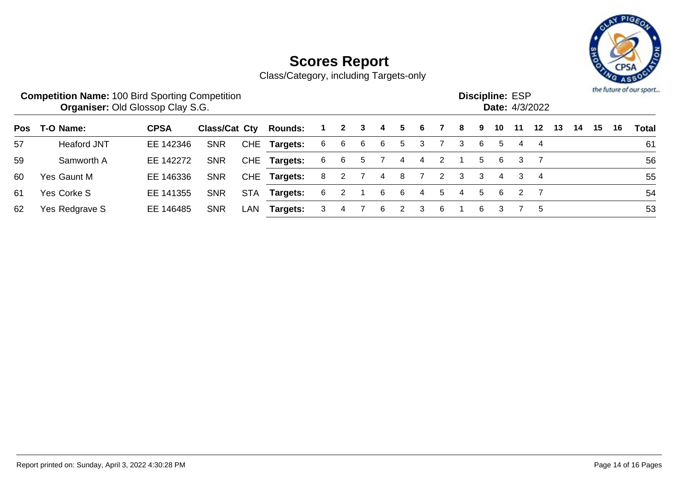

|    | <b>Competition Name: 100 Bird Sporting Competition</b><br><b>Organiser: Old Glossop Clay S.G.</b> |             |                      |            |                |    |              |   |    |    |   |   |   |   | <b>Discipline: ESP</b> |    | Date: 4/3/2022 |    |    |    |    | the future of our sport |
|----|---------------------------------------------------------------------------------------------------|-------------|----------------------|------------|----------------|----|--------------|---|----|----|---|---|---|---|------------------------|----|----------------|----|----|----|----|-------------------------|
|    | Pos T-O Name:                                                                                     | <b>CPSA</b> | <b>Class/Cat Cty</b> |            | <b>Rounds:</b> |    | $\mathbf{2}$ | 3 | 4  | 5. | 6 |   | 8 | 9 | 10                     | 11 | 12             | 13 | 14 | 15 | 16 | Total                   |
| 57 | <b>Heaford JNT</b>                                                                                | EE 142346   | <b>SNR</b>           |            | CHE Targets:   | 6  | -6           | 6 | -6 | 5. | 3 |   | 3 | 6 | 5                      | 4  | -4             |    |    |    |    | 61                      |
| 59 | Samworth A                                                                                        | EE 142272   | <b>SNR</b>           |            | CHE Targets:   | -6 | 6            | 5 |    | 4  | 4 |   |   | 5 | 6                      | 3  |                |    |    |    |    | 56                      |
| 60 | Yes Gaunt M                                                                                       | EE 146336   | <b>SNR</b>           |            | CHE Targets:   | -8 | 2            |   | 4  | 8  |   | 2 | 3 | 3 | 4                      |    | $\overline{4}$ |    |    |    |    | 55                      |
| 61 | Yes Corke S                                                                                       | EE 141355   | <b>SNR</b>           | <b>STA</b> | Targets:       | 6  | 2            |   | 6  | 6  | 4 | 5 | 4 | 5 | 6                      | -2 |                |    |    |    |    | 54                      |
| 62 | Yes Redgrave S                                                                                    | EE 146485   | <b>SNR</b>           | LAN        | Targets:       | 3  | 4            |   | 6  | 2  | 3 | 6 |   | 6 | 3                      |    | -5             |    |    |    |    | 53                      |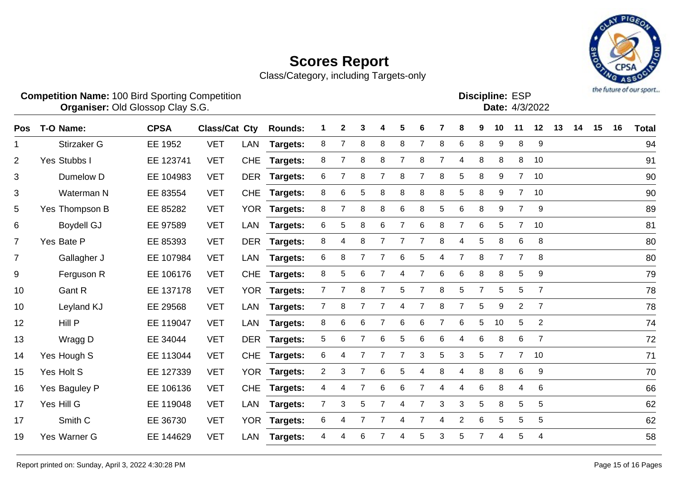

|                |                    | <b>Competition Name: 100 Bird Sporting Competition</b><br><b>Organiser: Old Glossop Clay S.G.</b> |                      |            |                 |                |                |                |                |                |                |   |                |                |                | <b>Discipline: ESP</b><br>Date: 4/3/2022 |                | the future of our sport |    |    |    |              |
|----------------|--------------------|---------------------------------------------------------------------------------------------------|----------------------|------------|-----------------|----------------|----------------|----------------|----------------|----------------|----------------|---|----------------|----------------|----------------|------------------------------------------|----------------|-------------------------|----|----|----|--------------|
| <b>Pos</b>     | T-O Name:          | <b>CPSA</b>                                                                                       | <b>Class/Cat Cty</b> |            | <b>Rounds:</b>  |                | $\mathbf{2}$   | 3              | Δ              | 5              | 6              |   | 8              | 9              | 10             | 11                                       | 12             | 13                      | 14 | 15 | 16 | <b>Total</b> |
| 1              | Stirzaker G        | EE 1952                                                                                           | <b>VET</b>           | LAN        | <b>Targets:</b> | 8              | 7              | 8              | 8              | 8              | $\overline{7}$ | 8 | 6              | 8              | 9              | 8                                        | 9              |                         |    |    |    | 94           |
| $\overline{2}$ | Yes Stubbs I       | EE 123741                                                                                         | <b>VET</b>           | <b>CHE</b> | Targets:        | 8              | $\overline{7}$ | 8              | 8              | $\overline{7}$ | 8              | 7 | 4              | 8              | $\bf 8$        | 8                                        | 10             |                         |    |    |    | 91           |
| 3              | Dumelow D          | EE 104983                                                                                         | <b>VET</b>           | <b>DER</b> | Targets:        | 6              | 7              | 8              | 7              | 8              | 7              | 8 | 5              | 8              | 9              | $7^{\circ}$                              | 10             |                         |    |    |    | 90           |
| 3              | Waterman N         | EE 83554                                                                                          | <b>VET</b>           | <b>CHE</b> | Targets:        | 8              | 6              | 5              | 8              | 8              | 8              | 8 | 5              | 8              | 9              | $\overline{7}$                           | 10             |                         |    |    |    | 90           |
| 5              | Yes Thompson B     | EE 85282                                                                                          | <b>VET</b>           |            | YOR Targets:    | 8              | 7              | 8              | 8              | 6              | 8              | 5 | 6              | 8              | 9              | $\overline{7}$                           | 9              |                         |    |    |    | 89           |
| 6              | <b>Boydell GJ</b>  | EE 97589                                                                                          | <b>VET</b>           | <b>LAN</b> | Targets:        | 6              | 5              | 8              | 6              | $\overline{7}$ | 6              | 8 | $\overline{7}$ | 6              | 5              | $\overline{7}$                           | 10             |                         |    |    |    | 81           |
| $\overline{7}$ | Yes Bate P         | EE 85393                                                                                          | <b>VET</b>           | <b>DER</b> | Targets:        | 8              | 4              | 8              | 7              | $\overline{7}$ | $\overline{7}$ | 8 | 4              | 5              | 8              | 6                                        | 8              |                         |    |    |    | 80           |
| $\overline{7}$ | Gallagher J        | EE 107984                                                                                         | <b>VET</b>           | LAN        | Targets:        | 6              | 8              | $\overline{7}$ | $\overline{7}$ | 6              | 5              | 4 | $\overline{7}$ | 8              | $\overline{7}$ | $\overline{7}$                           | 8              |                         |    |    |    | 80           |
| 9              | Ferguson R         | EE 106176                                                                                         | <b>VET</b>           | <b>CHE</b> | Targets:        | 8              | 5              | 6              | 7              | 4              | $\overline{7}$ | 6 | 6              | 8              | 8              | 5                                        | 9              |                         |    |    |    | 79           |
| 10             | Gant R             | EE 137178                                                                                         | <b>VET</b>           | <b>YOR</b> | Targets:        | $\overline{7}$ | $\overline{7}$ | 8              | $\overline{7}$ | 5              | $\overline{7}$ | 8 | 5              | $\overline{7}$ | 5              | 5                                        | $\overline{7}$ |                         |    |    |    | 78           |
| 10             | Leyland KJ         | EE 29568                                                                                          | <b>VET</b>           | LAN        | Targets:        | $\overline{7}$ | 8              | $\overline{7}$ | 7              | 4              | 7              | 8 | $\overline{7}$ | 5              | 9              | 2                                        | $\overline{7}$ |                         |    |    |    | 78           |
| 12             | Hill P             | EE 119047                                                                                         | <b>VET</b>           | <b>LAN</b> | Targets:        | 8              | 6              | 6              | 7              | 6              | 6              | 7 | 6              | 5              | 10             | 5                                        | $\mathbf{2}$   |                         |    |    |    | 74           |
| 13             | Wragg D            | EE 34044                                                                                          | <b>VET</b>           | <b>DER</b> | Targets:        | 5              | 6              | $\overline{7}$ | $\,6$          | 5              | 6              | 6 | 4              | 6              | 8              | 6                                        | $\overline{7}$ |                         |    |    |    | 72           |
| 14             | Yes Hough S        | EE 113044                                                                                         | <b>VET</b>           | <b>CHE</b> | Targets:        | 6              | 4              | $\overline{7}$ | 7              | $\overline{7}$ | 3              | 5 | 3              | 5              | $\overline{7}$ | $\overline{7}$                           | 10             |                         |    |    |    | 71           |
| 15             | Yes Holt S         | EE 127339                                                                                         | <b>VET</b>           |            | YOR Targets:    | $\overline{2}$ | 3              | $\overline{7}$ | 6              | 5              | 4              | 8 | 4              | 8              | 8              | 6                                        | 9              |                         |    |    |    | 70           |
| 16             | Yes Baguley P      | EE 106136                                                                                         | <b>VET</b>           | <b>CHE</b> | Targets:        | 4              | 4              | $\overline{7}$ | 6              | 6              | $\overline{7}$ | 4 | 4              | 6              | 8              | 4                                        | $\,6$          |                         |    |    |    | 66           |
| 17             | Yes Hill G         | EE 119048                                                                                         | <b>VET</b>           | LAN        | Targets:        | $\overline{7}$ | 3              | 5              | $\overline{7}$ | 4              | $\overline{7}$ | 3 | 3              | 5              | 8              | 5                                        | 5              |                         |    |    |    | 62           |
| 17             | Smith <sub>C</sub> | EE 36730                                                                                          | <b>VET</b>           | <b>YOR</b> | Targets:        | 6              | 4              | 7              |                | 4              | $\overline{7}$ | 4 | $\overline{2}$ | 6              | 5              | 5                                        | 5              |                         |    |    |    | 62           |
| 19             | Yes Warner G       | EE 144629                                                                                         | <b>VET</b>           | LAN        | Targets:        | 4              | 4              | 6              |                | 4              | 5              | 3 | 5              | $\overline{7}$ | 4              | 5                                        | 4              |                         |    |    |    | 58           |